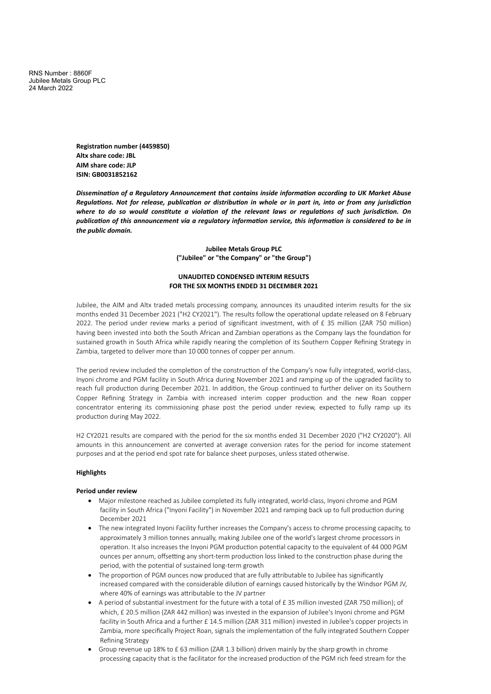RNS Number : 8860F Jubilee Metals Group PLC 24 March 2022

> **Registration number (4459850) Altx share code: JBL AIM share code: JLP ISIN: GB0031852162**

*Dissemination of a Regulatory Announcement that contains inside information according to UK Market Abuse* Regulations. Not for release, publication or distribution in whole or in part in, into or from any jurisdiction where to do so would constitute a violation of the relevant laws or regulations of such jurisdiction. On *publication of this announcement via a regulatory information service, this information is considered to be in the public domain.*

> **Jubilee Metals Group PLC ("Jubilee" or "the Company" or "the Group")**

# **UNAUDITED CONDENSED INTERIM RESULTS FOR THE SIX MONTHS ENDED 31 DECEMBER 2021**

Jubilee, the AIM and Altx traded metals processing company, announces its unaudited interim results for the six months ended 31 December 2021 ("H2 CY2021"). The results follow the operational update released on 8 February 2022. The period under review marks a period of significant investment, with of £ 35 million (ZAR 750 million) having been invested into both the South African and Zambian operations as the Company lays the foundation for sustained growth in South Africa while rapidly nearing the completion of its Southern Copper Refining Strategy in Zambia, targeted to deliver more than 10 000 tonnes of copper per annum.

The period review included the completion of the construction of the Company's now fully integrated, world-class, Inyoni chrome and PGM facility in South Africa during November 2021 and ramping up of the upgraded facility to reach full production during December 2021. In addition, the Group continued to further deliver on its Southern Copper Refining Strategy in Zambia with increased interim copper production and the new Roan copper concentrator entering its commissioning phase post the period under review, expected to fully ramp up its production during May 2022.

H2 CY2021 results are compared with the period for the six months ended 31 December 2020 ("H2 CY2020"). All amounts in this announcement are converted at average conversion rates for the period for income statement purposes and at the period end spot rate for balance sheet purposes, unless stated otherwise.

#### **Highlights**

#### **Period under review**

- · Major milestone reached as Jubilee completed its fully integrated, world-class, Inyoni chrome and PGM facility in South Africa ("Inyoni Facility") in November 2021 and ramping back up to full production during December 2021
- · The new integrated Inyoni Facility further increases the Company's access to chrome processing capacity, to approximately 3 million tonnes annually, making Jubilee one of the world's largest chrome processors in operation. It also increases the Inyoni PGM production potential capacity to the equivalent of 44 000 PGM ounces per annum, offsetting any short-term production loss linked to the construction phase during the period, with the potential of sustained long-term growth
- · The proportion of PGM ounces now produced that are fully attributable to Jubilee has significantly increased compared with the considerable dilution of earnings caused historically by the Windsor PGM JV, where 40% of earnings was attributable to the JV partner
- · A period of substantial investment for the future with a total of £ 35 million invested (ZAR 750 million); of which, £ 20.5 million (ZAR 442 million) was invested in the expansion of Jubilee's Inyoni chrome and PGM facility in South Africa and a further £ 14.5 million (ZAR 311 million) invested in Jubilee's copper projects in Zambia, more specifically Project Roan, signals the implementation of the fully integrated Southern Copper Refining Strategy
- · Group revenue up 18% to £ 63 million (ZAR 1.3 billion) driven mainly by the sharp growth in chrome processing capacity that is the facilitator for the increased production of the PGM rich feed stream for the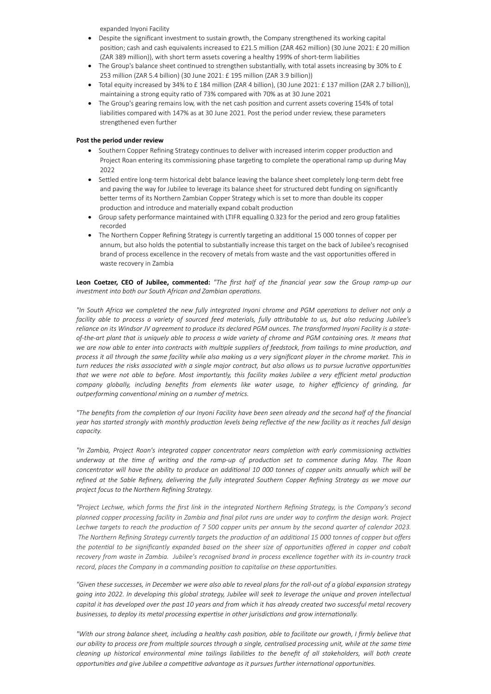expanded Inyoni Facility

- · Despite the significant investment to sustain growth, the Company strengthened its working capital position; cash and cash equivalents increased to £21.5 million (ZAR 462 million) (30 June 2021: £ 20 million (ZAR 389 million)), with short term assets covering a healthy 199% of short-term liabilities
- The Group's balance sheet continued to strengthen substantially, with total assets increasing by 30% to  $E$ 253 million (ZAR 5.4 billion) (30 June 2021: £ 195 million (ZAR 3.9 billion))
- · Total equity increased by 34% to £ 184 million (ZAR 4 billion), (30 June 2021: £ 137 million (ZAR 2.7 billion)), maintaining a strong equity ratio of 73% compared with 70% as at 30 June 2021
- · The Group's gearing remains low, with the net cash position and current assets covering 154% of total liabilities compared with 147% as at 30 June 2021. Post the period under review, these parameters strengthened even further

### **Post the period under review**

- · Southern Copper Refining Strategy continues to deliver with increased interim copper production and Project Roan entering its commissioning phase targeting to complete the operational ramp up during May 2022
- · Settled entire long-term historical debt balance leaving the balance sheet completely long-term debt free and paving the way for Jubilee to leverage its balance sheet for structured debt funding on significantly better terms of its Northern Zambian Copper Strategy which is set to more than double its copper production and introduce and materially expand cobalt production
- Group safety performance maintained with LTIFR equalling 0.323 for the period and zero group fatalities recorded
- The Northern Copper Refining Strategy is currently targeting an additional 15 000 tonnes of copper per annum, but also holds the potential to substantially increase this target on the back of Jubilee's recognised brand of process excellence in the recovery of metals from waste and the vast opportunities offered in waste recovery in Zambia

Leon Coetzer, CEO of Jubilee, commented: "The first half of the financial year saw the Group ramp-up our *investment into both our South African and Zambian operations.*

"In South Africa we completed the new fully integrated Inyoni chrome and PGM operations to deliver not only a facility able to process a variety of sourced feed materials, fully attributable to us, but also reducing Jubilee's reliance on its Windsor JV agreement to produce its declared PGM ounces. The transformed Inyoni Facility is a stateof-the-art plant that is uniquely able to process a wide variety of chrome and PGM containing ores. It means that we are now able to enter into contracts with multiple suppliers of feedstock, from tailings to mine production, and process it all through the same facility while also making us a very significant player in the chrome market. This in turn reduces the risks associated with a single major contract, but also allows us to pursue lucrative opportunities that we were not able to before. Most importantly, this facility makes Jubilee a very efficient metal production *company globally, including benefits from elements like water usage, to higher efficiency of grinding, far outperforming conventional mining on a number of metrics.*

"The benefits from the completion of our Inyoni Facility have been seen already and the second half of the financial year has started strongly with monthly production levels being reflective of the new facility as it reaches full design *capacity.*

*"In Zambia, Project Roan's integrated copper concentrator nears completion with early commissioning activities underway at the time of writing and the ramp-up of production set to commence during May. The Roan* concentrator will have the ability to produce an additional 10 000 tonnes of copper units annually which will be refined at the Sable Refinery, delivering the fully integrated Southern Copper Refining Strategy as we move our *project focus to the Northern Refining Strategy.*

"Project Lechwe, which forms the first link in the integrated Northern Refining Strategy, is the Company's second planned copper processing facility in Zambia and final pilot runs are under way to confirm the design work. Project Lechwe targets to reach the production of 7 500 copper units per annum by the second quarter of calendar 2023. The Northern Refining Strategy currently targets the production of an additional 15 000 tonnes of copper but offers the potential to be significantly expanded based on the sheer size of opportunities offered in copper and cobalt recovery from waste in Zambia. Jubilee's recognised brand in process excellence together with its in-country track *record, places the Company in a commanding position to capitalise on these opportunities.*

"Given these successes, in December we were also able to reveal plans for the roll-out of a global expansion strategy going into 2022. In developing this global strategy, Jubilee will seek to leverage the unique and proven intellectual capital it has developed over the past 10 years and from which it has already created two successful metal recovery *businesses, to deploy its metal processing expertise in other jurisdictions and grow internationally.*

"With our strong balance sheet, including a healthy cash position, able to facilitate our growth, I firmly believe that our ability to process ore from multiple sources through a single, centralised processing unit, while at the same time cleaning up historical environmental mine tailings liabilities to the benefit of all stakeholders, will both create *opportunities and give Jubilee a competitive advantage as it pursues further international opportunities.*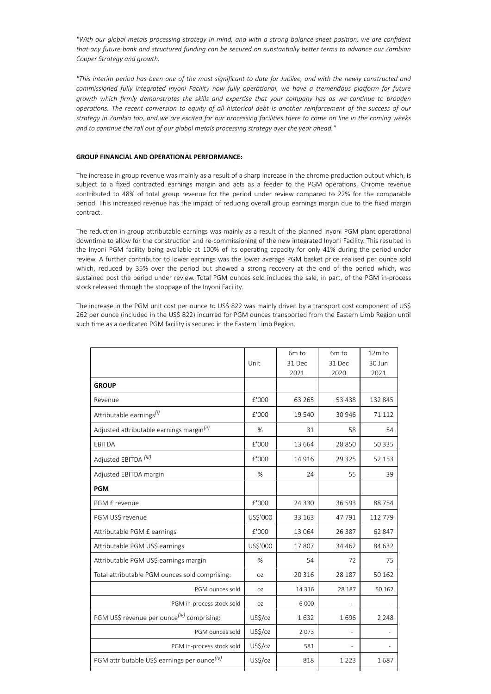"With our global metals processing strategy in mind, and with a strong balance sheet position, we are confident that any future bank and structured funding can be secured on substantially better terms to advance our Zambian *Copper Strategy and growth.*

"This interim period has been one of the most significant to date for Jubilee, and with the newly constructed and *commissioned fully integrated Inyoni Facility now fully operational, we have a tremendous platform for future growth which firmly demonstrates the skills and expertise that your company has as we continue to broaden* operations. The recent conversion to equity of all historical debt is another reinforcement of the success of our strategy in Zambia too, and we are excited for our processing facilities there to come on line in the coming weeks *and to continue the roll out of our global metals processing strategy over the year ahead."*

### **GROUP FINANCIAL AND OPERATIONAL PERFORMANCE:**

The increase in group revenue was mainly as a result of a sharp increase in the chrome production output which, is subject to a fixed contracted earnings margin and acts as a feeder to the PGM operations. Chrome revenue contributed to 48% of total group revenue for the period under review compared to 22% for the comparable period. This increased revenue has the impact of reducing overall group earnings margin due to the fixed margin contract.

The reduction in group attributable earnings was mainly as a result of the planned Inyoni PGM plant operational downtime to allow for the construction and re-commissioning of the new integrated Inyoni Facility. This resulted in the Inyoni PGM facility being available at 100% of its operating capacity for only 41% during the period under review. A further contributor to lower earnings was the lower average PGM basket price realised per ounce sold which, reduced by 35% over the period but showed a strong recovery at the end of the period which, was sustained post the period under review. Total PGM ounces sold includes the sale, in part, of the PGM in-process stock released through the stoppage of the Inyoni Facility.

The increase in the PGM unit cost per ounce to US\$ 822 was mainly driven by a transport cost component of US\$ 262 per ounce (included in the US\$ 822) incurred for PGM ounces transported from the Eastern Limb Region until such time as a dedicated PGM facility is secured in the Eastern Limb Region.

|                                                          | Unit     | 6m to<br>31 Dec<br>2021 | 6m to<br>31 Dec<br>2020 | 12m to<br>30 Jun<br>2021 |
|----------------------------------------------------------|----------|-------------------------|-------------------------|--------------------------|
| <b>GROUP</b>                                             |          |                         |                         |                          |
| Revenue                                                  | £'000    | 63 2 65                 | 53 4 38                 | 132 845                  |
| Attributable earnings <sup>(i)</sup>                     | £'000    | 19 540                  | 30 946                  | 71 112                   |
| Adjusted attributable earnings margin <sup>(ii)</sup>    | %        | 31                      | 58                      | 54                       |
| <b>EBITDA</b>                                            | £'000    | 13 664                  | 28 850                  | 50 335                   |
| Adjusted EBITDA <sup>(iii)</sup>                         | £'000    | 14 9 16                 | 29 3 25                 | 52 153                   |
| Adjusted EBITDA margin                                   | %        | 24                      | 55                      | 39                       |
| <b>PGM</b>                                               |          |                         |                         |                          |
| PGM £ revenue                                            | £'000    | 24 3 30                 | 36 593                  | 88754                    |
| PGM US\$ revenue                                         | US\$'000 | 33 163                  | 47791                   | 112 779                  |
| Attributable PGM £ earnings                              | £'000    | 13 064                  | 26 387                  | 62 847                   |
| Attributable PGM US\$ earnings                           | US\$'000 | 17807                   | 34 4 62                 | 84 632                   |
| Attributable PGM US\$ earnings margin                    | %        | 54                      | 72                      | 75                       |
| Total attributable PGM ounces sold comprising:           | OZ       | 20 3 16                 | 28 187                  | 50 162                   |
| PGM ounces sold                                          | OZ.      | 14 3 16                 | 28 187                  | 50 162                   |
| PGM in-process stock sold                                | OZ       | 6 0 0 0                 |                         |                          |
| PGM US\$ revenue per ounce <sup>(iv)</sup> comprising:   | US\$/oz  | 1632                    | 1696                    | 2 2 4 8                  |
| PGM ounces sold                                          | US\$/oz  | 2073                    |                         |                          |
| PGM in-process stock sold                                | US\$/oz  | 581                     |                         |                          |
| PGM attributable US\$ earnings per ounce <sup>(iv)</sup> | US\$/oz  | 818                     | 1 2 2 3                 | 1687                     |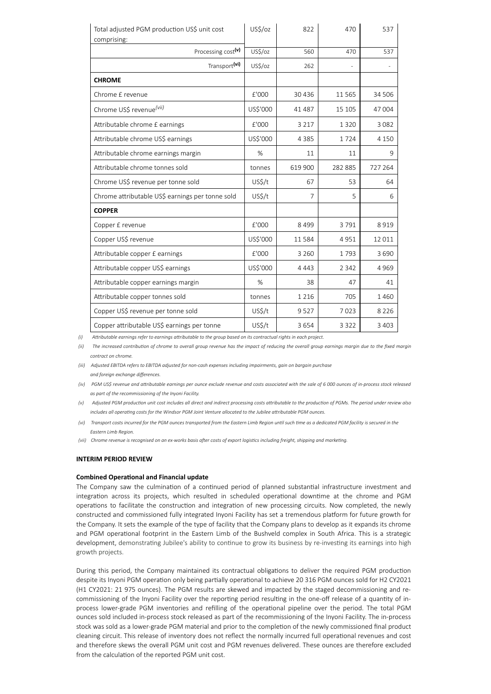| Total adjusted PGM production US\$ unit cost<br>comprising: | US\$/oz  | 822            | 470      | 537     |
|-------------------------------------------------------------|----------|----------------|----------|---------|
| Processing cost(v)                                          | US\$/oz  | 560            | 470      | 537     |
| Transport(vi)                                               | US\$/oz  | 262            |          |         |
| <b>CHROME</b>                                               |          |                |          |         |
| Chrome £ revenue                                            | £'000    | 30 4 36        | 11 5 6 5 | 34 506  |
| Chrome US\$ revenue <sup>(vii)</sup>                        | US\$'000 | 41 487         | 15 105   | 47 004  |
| Attributable chrome £ earnings                              | £'000    | 3 2 1 7        | 1320     | 3 0 8 2 |
| Attributable chrome US\$ earnings                           | US\$'000 | 4 3 8 5        | 1724     | 4 1 5 0 |
| Attributable chrome earnings margin                         | %        | 11             | 11       | 9       |
| Attributable chrome tonnes sold                             | tonnes   | 619 900        | 282 885  | 727 264 |
| Chrome US\$ revenue per tonne sold                          | US\$/t   | 67             | 53       | 64      |
| Chrome attributable US\$ earnings per tonne sold            | US\$/t   | $\overline{7}$ | 5        | 6       |
| <b>COPPER</b>                                               |          |                |          |         |
| Copper £ revenue                                            | £'000    | 8499           | 3791     | 8919    |
| Copper US\$ revenue                                         | US\$'000 | 11584          | 4951     | 12 011  |
| Attributable copper £ earnings                              | £'000    | 3 2 6 0        | 1793     | 3690    |
| Attributable copper US\$ earnings                           | US\$'000 | 4 4 4 3        | 2 3 4 2  | 4 9 6 9 |
| Attributable copper earnings margin                         | %        | 38             | 47       | 41      |
| Attributable copper tonnes sold                             | tonnes   | 1 2 1 6        | 705      | 1 4 6 0 |
| Copper US\$ revenue per tonne sold                          | US\$/t   | 9527           | 7023     | 8 2 2 6 |
| Copper attributable US\$ earnings per tonne                 | US\$/t   | 3654           | 3 3 2 2  | 3 4 0 3 |

(i) Attributable earnings refer to earnings attributable to the group based on its contractual rights in each project.

(ii) The increased contribution of chrome to overall group revenue has the impact of reducing the overall group earnings margin due to the fixed margin *contract on chrome.*

(iii) Adjusted EBITDA refers to EBITDA adjusted for non-cash expenses including impairments, gain on bargain purchase *and foreign exchange differences.*

(vii) Chrome revenue is recognised on an ex-works basis after costs of export logistics including freight, shipping and marketing.

#### **INTERIM PERIOD REVIEW**

#### **Combined Operational and Financial update**

The Company saw the culmination of a continued period of planned substantial infrastructure investment and integration across its projects, which resulted in scheduled operational downtime at the chrome and PGM operations to facilitate the construction and integration of new processing circuits. Now completed, the newly constructed and commissioned fully integrated Inyoni Facility has set a tremendous platform for future growth for the Company. It sets the example of the type of facility that the Company plans to develop as it expands its chrome and PGM operational footprint in the Eastern Limb of the Bushveld complex in South Africa. This is a strategic development, demonstrating Jubilee's ability to continue to grow its business by re-investing its earnings into high growth projects.

During this period, the Company maintained its contractual obligations to deliver the required PGM production despite its Inyoni PGM operation only being partially operational to achieve 20 316 PGM ounces sold for H2 CY2021 (H1 CY2021: 21 975 ounces). The PGM results are skewed and impacted by the staged decommissioning and recommissioning of the Inyoni Facility over the reporting period resulting in the one-off release of a quantity of inprocess lower-grade PGM inventories and refilling of the operational pipeline over the period. The total PGM ounces sold included in-process stock released as part of the recommissioning of the Inyoni Facility. The in-process stock was sold as a lower-grade PGM material and prior to the completion of the newly commissioned final product cleaning circuit. This release of inventory does not reflect the normally incurred full operational revenues and cost and therefore skews the overall PGM unit cost and PGM revenues delivered. These ounces are therefore excluded from the calculation of the reported PGM unit cost.

<sup>(</sup>iv) PGM USS revenue and attributable earninas per ounce exclude revenue and costs associated with the sale of 6 000 ounces of in-process stock released *as part of the recommissioning of the Inyoni Facility.*

<sup>(</sup>v) Adjusted PGM production unit cost includes all direct and indirect processing costs attributable to the production of PGMs. The period under review also includes all operatina costs for the Windsor PGM Joint Venture allocated to the Jubilee attributable PGM ounces.

<sup>(</sup>vi) Transport costs incurred for the PGM ounces transported from the Eastern Limb Region until such time as a dedicated PGM facility is secured in the *Eastern Limb Region.*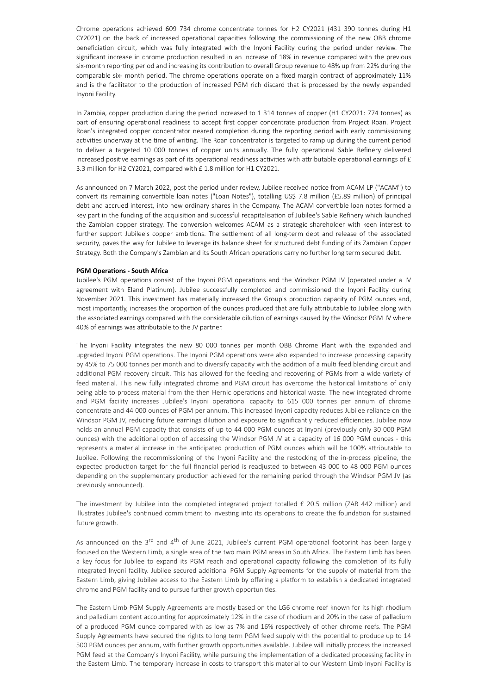Chrome operations achieved 609 734 chrome concentrate tonnes for H2 CY2021 (431 390 tonnes during H1 CY2021) on the back of increased operational capacities following the commissioning of the new OBB chrome beneficiation circuit, which was fully integrated with the Inyoni Facility during the period under review. The significant increase in chrome production resulted in an increase of 18% in revenue compared with the previous six-month reporting period and increasing its contribution to overall Group revenue to 48% up from 22% during the comparable six- month period. The chrome operations operate on a fixed margin contract of approximately 11% and is the facilitator to the production of increased PGM rich discard that is processed by the newly expanded Inyoni Facility.

In Zambia, copper production during the period increased to 1 314 tonnes of copper (H1 CY2021: 774 tonnes) as part of ensuring operational readiness to accept first copper concentrate production from Project Roan. Project Roan's integrated copper concentrator neared completion during the reporting period with early commissioning activities underway at the time of writing. The Roan concentrator is targeted to ramp up during the current period to deliver a targeted 10 000 tonnes of copper units annually. The fully operational Sable Refinery delivered increased positive earnings as part of its operational readiness activities with attributable operational earnings of  $E$ 3.3 million for H2 CY2021, compared with £ 1.8 million for H1 CY2021.

As announced on 7 March 2022, post the period under review, Jubilee received notice from ACAM LP ("ACAM") to convert its remaining convertible loan notes ("Loan Notes"), totalling US\$ 7.8 million (£5.89 million) of principal debt and accrued interest, into new ordinary shares in the Company. The ACAM convertible loan notes formed a key part in the funding of the acquisition and successful recapitalisation of Jubilee's Sable Refinery which launched the Zambian copper strategy. The conversion welcomes ACAM as a strategic shareholder with keen interest to further support Jubilee's copper ambitions. The settlement of all long-term debt and release of the associated security, paves the way for Jubilee to leverage its balance sheet for structured debt funding of its Zambian Copper Strategy. Both the Company's Zambian and its South African operations carry no further long term secured debt.

#### **PGM Operations - South Africa**

Jubilee's PGM operations consist of the Inyoni PGM operations and the Windsor PGM JV (operated under a JV agreement with Eland Platinum). Jubilee successfully completed and commissioned the Inyoni Facility during November 2021. This investment has materially increased the Group's production capacity of PGM ounces and, most importantly, increases the proportion of the ounces produced that are fully attributable to Jubilee along with the associated earnings compared with the considerable dilution of earnings caused by the Windsor PGM JV where 40% of earnings was attributable to the JV partner.

The Inyoni Facility integrates the new 80 000 tonnes per month OBB Chrome Plant with the expanded and upgraded Inyoni PGM operations. The Inyoni PGM operations were also expanded to increase processing capacity by 45% to 75 000 tonnes per month and to diversify capacity with the addition of a multi feed blending circuit and additional PGM recovery circuit. This has allowed for the feeding and recovering of PGMs from a wide variety of feed material. This new fully integrated chrome and PGM circuit has overcome the historical limitations of only being able to process material from the then Hernic operations and historical waste. The new integrated chrome and PGM facility increases Jubilee's Inyoni operational capacity to 615 000 tonnes per annum of chrome concentrate and 44 000 ounces of PGM per annum. This increased Inyoni capacity reduces Jubilee reliance on the Windsor PGM JV, reducing future earnings dilution and exposure to significantly reduced efficiencies. Jubilee now holds an annual PGM capacity that consists of up to 44 000 PGM ounces at Inyoni (previously only 30 000 PGM ounces) with the additional option of accessing the Windsor PGM JV at a capacity of 16 000 PGM ounces - this represents a material increase in the anticipated production of PGM ounces which will be 100% attributable to Jubilee. Following the recommissioning of the Inyoni Facility and the restocking of the in-process pipeline, the expected production target for the full financial period is readjusted to between 43 000 to 48 000 PGM ounces depending on the supplementary production achieved for the remaining period through the Windsor PGM JV (as previously announced).

The investment by Jubilee into the completed integrated project totalled £ 20.5 million (ZAR 442 million) and illustrates Jubilee's continued commitment to investing into its operations to create the foundation for sustained future growth.

As announced on the 3<sup>rd</sup> and 4<sup>th</sup> of June 2021, Jubilee's current PGM operational footprint has been largely focused on the Western Limb, a single area of the two main PGM areas in South Africa. The Eastern Limb has been a key focus for Jubilee to expand its PGM reach and operational capacity following the completion of its fully integrated Inyoni facility. Jubilee secured additional PGM Supply Agreements for the supply of material from the Eastern Limb, giving Jubilee access to the Eastern Limb by offering a platform to establish a dedicated integrated chrome and PGM facility and to pursue further growth opportunities.

The Eastern Limb PGM Supply Agreements are mostly based on the LG6 chrome reef known for its high rhodium and palladium content accounting for approximately 12% in the case of rhodium and 20% in the case of palladium of a produced PGM ounce compared with as low as 7% and 16% respectively of other chrome reefs. The PGM Supply Agreements have secured the rights to long term PGM feed supply with the potential to produce up to 14 500 PGM ounces per annum, with further growth opportunities available. Jubilee will initially process the increased PGM feed at the Company's Inyoni Facility, while pursuing the implementation of a dedicated processing facility in the Eastern Limb. The temporary increase in costs to transport this material to our Western Limb Inyoni Facility is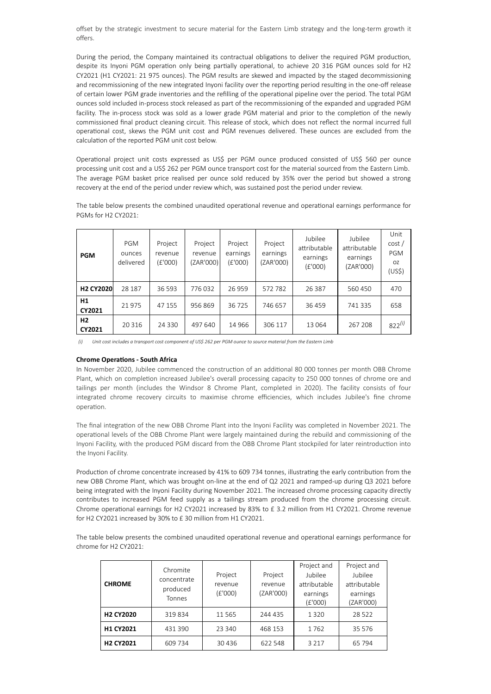offset by the strategic investment to secure material for the Eastern Limb strategy and the long-term growth it offers.

During the period, the Company maintained its contractual obligations to deliver the required PGM production, despite its Inyoni PGM operation only being partially operational, to achieve 20 316 PGM ounces sold for H2 CY2021 (H1 CY2021: 21 975 ounces). The PGM results are skewed and impacted by the staged decommissioning and recommissioning of the new integrated Inyoni facility over the reporting period resulting in the one-off release of certain lower PGM grade inventories and the refilling of the operational pipeline over the period. The total PGM ounces sold included in-process stock released as part of the recommissioning of the expanded and upgraded PGM facility. The in-process stock was sold as a lower grade PGM material and prior to the completion of the newly commissioned final product cleaning circuit. This release of stock, which does not reflect the normal incurred full operational cost, skews the PGM unit cost and PGM revenues delivered. These ounces are excluded from the calculation of the reported PGM unit cost below.

Operational project unit costs expressed as US\$ per PGM ounce produced consisted of US\$ 560 per ounce processing unit cost and a US\$ 262 per PGM ounce transport cost for the material sourced from the Eastern Limb. The average PGM basket price realised per ounce sold reduced by 35% over the period but showed a strong recovery at the end of the period under review which, was sustained post the period under review.

The table below presents the combined unaudited operational revenue and operational earnings performance for PGMs for H2 CY2021:

| <b>PGM</b>       | PGM<br>ounces<br>delivered | Project<br>revenue<br>(E'000) | Project<br>revenue<br>(ZAR'000) | Project<br>earnings<br>(E'000) | Project<br>earnings<br>(ZAR'000) | Jubilee<br>attributable<br>earnings<br>(E'000) | Jubilee<br>attributable<br>earnings<br>(ZAR'000) | Unit<br>cost/<br>PGM<br>OZ.<br>(US\$) |
|------------------|----------------------------|-------------------------------|---------------------------------|--------------------------------|----------------------------------|------------------------------------------------|--------------------------------------------------|---------------------------------------|
| <b>H2 CY2020</b> | 28 187                     | 36 593                        | 776032                          | 26959                          | 572782                           | 26 387                                         | 560 450                                          | 470                                   |
| Η1<br>CY2021     | 21 975                     | 47 155                        | 956869                          | 36725                          | 746 657                          | 36 45 9                                        | 741 335                                          | 658                                   |
| H2<br>CY2021     | 20 3 16                    | 24 3 3 0                      | 497 640                         | 14 9 66                        | 306 117                          | 13 0 64                                        | 267 208                                          | $822^{(i)}$                           |

Unit cost includes a transport cost component of US\$ 262 per PGM ounce to source material from the Eastern Limb

#### **Chrome Operations - South Africa**

In November 2020, Jubilee commenced the construction of an additional 80 000 tonnes per month OBB Chrome Plant, which on completion increased Jubilee's overall processing capacity to 250 000 tonnes of chrome ore and tailings per month (includes the Windsor 8 Chrome Plant, completed in 2020). The facility consists of four integrated chrome recovery circuits to maximise chrome efficiencies, which includes Jubilee's fine chrome operation.

The final integration of the new OBB Chrome Plant into the Inyoni Facility was completed in November 2021. The operational levels of the OBB Chrome Plant were largely maintained during the rebuild and commissioning of the Inyoni Facility, with the produced PGM discard from the OBB Chrome Plant stockpiled for later reintroduction into the Inyoni Facility.

Production of chrome concentrate increased by 41% to 609 734 tonnes, illustrating the early contribution from the new OBB Chrome Plant, which was brought on-line at the end of Q2 2021 and ramped-up during Q3 2021 before being integrated with the Inyoni Facility during November 2021. The increased chrome processing capacity directly contributes to increased PGM feed supply as a tailings stream produced from the chrome processing circuit. Chrome operational earnings for H2 CY2021 increased by 83% to £ 3.2 million from H1 CY2021. Chrome revenue for H2 CY2021 increased by 30% to £ 30 million from H1 CY2021.

The table below presents the combined unaudited operational revenue and operational earnings performance for chrome for H2 CY2021:

| <b>CHROME</b>    | Chromite<br>concentrate<br>produced<br>Tonnes | Project<br>revenue<br>(£'000) | Project<br>revenue<br>(ZAR'000) | Project and<br>Jubilee<br>attributable<br>earnings<br>(E'000) | Project and<br>Jubilee<br>attributable<br>earnings<br>(ZAR'000) |
|------------------|-----------------------------------------------|-------------------------------|---------------------------------|---------------------------------------------------------------|-----------------------------------------------------------------|
| <b>H2 CY2020</b> | 319834                                        | 11565                         | 244 435                         | 1320                                                          | 28 5 22                                                         |
| H1 CY2021        | 431 390                                       | 23 340                        | 468 153                         | 1762                                                          | 35 5 7 6                                                        |
| <b>H2 CY2021</b> | 609 734                                       | 30 4 36                       | 622 548                         | 3 2 1 7                                                       | 65 794                                                          |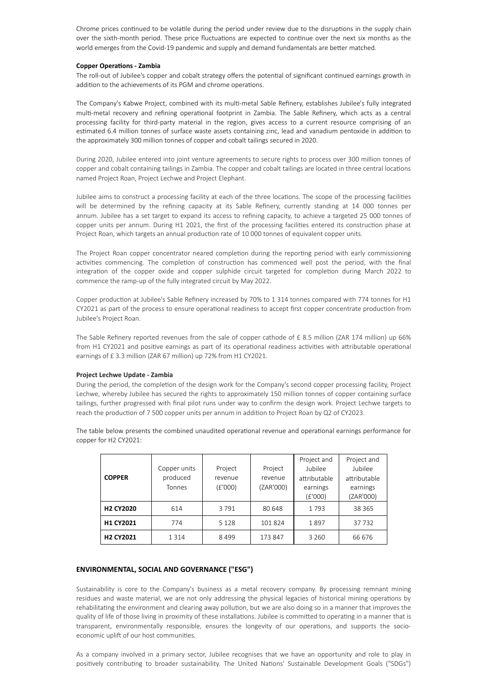Chrome prices continued to be volatile during the period under review due to the disruptions in the supply chain over the sixth-month period. These price fluctuations are expected to continue over the next six months as the world emerges from the Covid-19 pandemic and supply and demand fundamentals are better matched.

#### **Copper Operations - Zambia**

The roll-out of Jubilee's copper and cobalt strategy offers the potential of significant continued earnings growth in addition to the achievements of its PGM and chrome operations.

The Company's Kabwe Project, combined with its multi-metal Sable Refinery, establishes Jubilee's fully integrated multi-metal recovery and refining operational footprint in Zambia. The Sable Refinery, which acts as a central processing facility for third-party material in the region, gives access to a current resource comprising of an estimated 6.4 million tonnes of surface waste assets containing zinc, lead and vanadium pentoxide in addition to the approximately 300 million tonnes of copper and cobalt tailings secured in 2020.

During 2020, Jubilee entered into joint venture agreements to secure rights to process over 300 million tonnes of copper and cobalt containing tailings in Zambia. The copper and cobalt tailings are located in three central locations named Project Roan, Project Lechwe and Project Elephant.

Jubilee aims to construct a processing facility at each of the three locations. The scope of the processing facilities will be determined by the refining capacity at its Sable Refinery, currently standing at 14 000 tonnes per annum. Jubilee has a set target to expand its access to refining capacity, to achieve a targeted 25 000 tonnes of copper units per annum. During H1 2021, the first of the processing facilities entered its construction phase at Project Roan, which targets an annual production rate of 10 000 tonnes of equivalent copper units.

The Project Roan copper concentrator neared completion during the reporting period with early commissioning activities commencing. The completion of construction has commenced well post the period, with the final integration of the copper oxide and copper sulphide circuit targeted for completion during March 2022 to commence the ramp-up of the fully integrated circuit by May 2022.

Copper production at Jubilee's Sable Refinery increased by 70% to 1 314 tonnes compared with 774 tonnes for H1 CY2021 as part of the process to ensure operational readiness to accept first copper concentrate production from Jubilee's Project Roan.

The Sable Refinery reported revenues from the sale of copper cathode of £ 8.5 million (ZAR 174 million) up 66% from H1 CY2021 and positive earnings as part of its operational readiness activities with attributable operational earnings of £ 3.3 million (ZAR 67 million) up 72% from H1 CY2021.

#### **Project Lechwe Update - Zambia**

During the period, the completion of the design work for the Company's second copper processing facility, Project Lechwe, whereby Jubilee has secured the rights to approximately 150 million tonnes of copper containing surface tailings, further progressed with final pilot runs under way to confirm the design work. Project Lechwe targets to reach the production of 7 500 copper units per annum in addition to Project Roan by Q2 of CY2023.

The table below presents the combined unaudited operational revenue and operational earnings performance for copper for H2 CY2021:

| <b>COPPER</b>    | Copper units<br>produced<br>Tonnes | Project<br>revenue<br>(E'000) | Project<br>revenue<br>(ZAR'000) | Project and<br>Jubilee<br>attributable<br>earnings<br>(E'000) | Project and<br>Jubilee<br>attributable<br>earnings<br>(ZAR'000) |
|------------------|------------------------------------|-------------------------------|---------------------------------|---------------------------------------------------------------|-----------------------------------------------------------------|
| <b>H2 CY2020</b> | 614                                | 3791                          | 80 648                          | 1793                                                          | 38 365                                                          |
| H1 CY2021        | 774                                | 5 1 2 8                       | 101824                          | 1897                                                          | 37732                                                           |
| <b>H2 CY2021</b> | 1314                               | 8499                          | 173 847                         | 3 2 6 0                                                       | 66 676                                                          |

# **ENVIRONMENTAL, SOCIAL AND GOVERNANCE ("ESG")**

Sustainability is core to the Company's business as a metal recovery company. By processing remnant mining residues and waste material, we are not only addressing the physical legacies of historical mining operations by rehabilitating the environment and clearing away pollution, but we are also doing so in a manner that improves the quality of life of those living in proximity of these installations. Jubilee is committed to operating in a manner that is transparent, environmentally responsible, ensures the longevity of our operations, and supports the socioeconomic uplift of our host communities.

As a company involved in a primary sector, Jubilee recognises that we have an opportunity and role to play in positively contributing to broader sustainability. The United Nations' Sustainable Development Goals ("SDGs")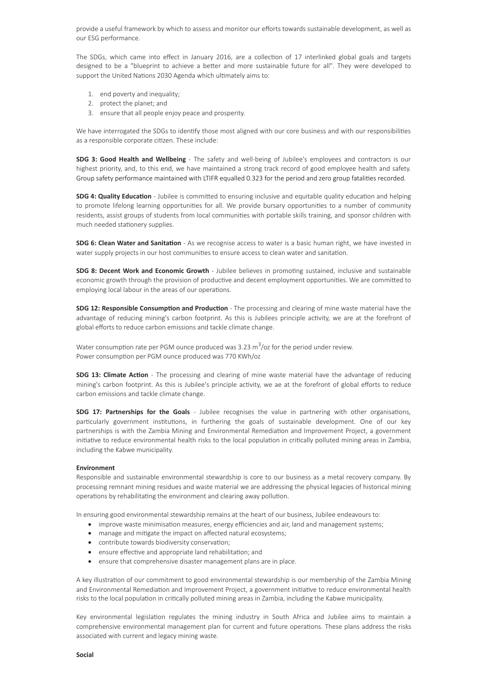provide a useful framework by which to assess and monitor our efforts towards sustainable development, as well as our ESG performance.

The SDGs, which came into effect in January 2016, are a collection of 17 interlinked global goals and targets designed to be a "blueprint to achieve a better and more sustainable future for all". They were developed to support the United Nations 2030 Agenda which ultimately aims to:

- 1. end poverty and inequality;
- 2. protect the planet; and
- 3. ensure that all people enjoy peace and prosperity.

We have interrogated the SDGs to identify those most aligned with our core business and with our responsibilities as a responsible corporate citizen. These include:

**SDG 3: Good Health and Wellbeing** - The safety and well-being of Jubilee's employees and contractors is our highest priority, and, to this end, we have maintained a strong track record of good employee health and safety. Group safety performance maintained with LTIFR equalled 0.323 for the period and zero group fatalities recorded.

**SDG 4: Quality Education** - Jubilee is committed to ensuring inclusive and equitable quality education and helping to promote lifelong learning opportunities for all. We provide bursary opportunities to a number of community residents, assist groups of students from local communities with portable skills training, and sponsor children with much needed stationery supplies.

**SDG 6: Clean Water and Sanitation** - As we recognise access to water is a basic human right, we have invested in water supply projects in our host communities to ensure access to clean water and sanitation.

**SDG 8: Decent Work and Economic Growth** - Jubilee believes in promoting sustained, inclusive and sustainable economic growth through the provision of productive and decent employment opportunities. We are committed to employing local labour in the areas of our operations.

**SDG 12: Responsible Consumption and Production** - The processing and clearing of mine waste material have the advantage of reducing mining's carbon footprint. As this is Jubilees principle activity, we are at the forefront of global efforts to reduce carbon emissions and tackle climate change.

Water consumption rate per PGM ounce produced was 3.23  $\mathrm{m}^3/\mathrm{oz}$  for the period under review. Power consumption per PGM ounce produced was 770 KWh/oz

**SDG 13: Climate Action** - The processing and clearing of mine waste material have the advantage of reducing mining's carbon footprint. As this is Jubilee's principle activity, we ae at the forefront of global efforts to reduce carbon emissions and tackle climate change.

**SDG 17: Partnerships for the Goals** - Jubilee recognises the value in partnering with other organisations, particularly government institutions, in furthering the goals of sustainable development. One of our key partnerships is with the Zambia Mining and Environmental Remediation and Improvement Project, a government initiative to reduce environmental health risks to the local population in critically polluted mining areas in Zambia, including the Kabwe municipality.

#### **Environment**

Responsible and sustainable environmental stewardship is core to our business as a metal recovery company. By processing remnant mining residues and waste material we are addressing the physical legacies of historical mining operations by rehabilitating the environment and clearing away pollution.

In ensuring good environmental stewardship remains at the heart of our business, Jubilee endeavours to:

- · improve waste minimisation measures, energy efficiencies and air, land and management systems;
- · manage and mitigate the impact on affected natural ecosystems;
- · contribute towards biodiversity conservation;
- · ensure effective and appropriate land rehabilitation; and
- ensure that comprehensive disaster management plans are in place.

A key illustration of our commitment to good environmental stewardship is our membership of the Zambia Mining and Environmental Remediation and Improvement Project, a government initiative to reduce environmental health risks to the local population in critically polluted mining areas in Zambia, including the Kabwe municipality.

Key environmental legislation regulates the mining industry in South Africa and Jubilee aims to maintain a comprehensive environmental management plan for current and future operations. These plans address the risks associated with current and legacy mining waste.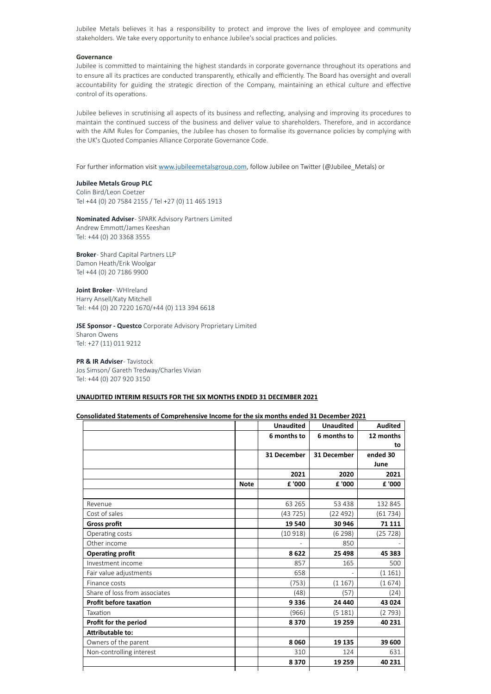Jubilee Metals believes it has a responsibility to protect and improve the lives of employee and community stakeholders. We take every opportunity to enhance Jubilee's social practices and policies.

#### **Governance**

Jubilee is committed to maintaining the highest standards in corporate governance throughout its operations and to ensure all its practices are conducted transparently, ethically and efficiently. The Board has oversight and overall accountability for guiding the strategic direction of the Company, maintaining an ethical culture and effective control of its operations.

Jubilee believes in scrutinising all aspects of its business and reflecting, analysing and improving its procedures to maintain the continued success of the business and deliver value to shareholders. Therefore, and in accordance with the AIM Rules for Companies, the Jubilee has chosen to formalise its governance policies by complying with the UK's Quoted Companies Alliance Corporate Governance Code.

For further information visit [www.jubileemetalsgroup.com](http://www.jubileemetalsgroup.com/), follow Jubilee on Twitter (@Jubilee\_Metals) or

# **Jubilee Metals Group PLC**

Colin Bird/Leon Coetzer Tel +44 (0) 20 7584 2155 / Tel +27 (0) 11 465 1913

**Nominated Adviser**- SPARK Advisory Partners Limited Andrew Emmott/James Keeshan Tel: +44 (0) 20 3368 3555

**Broker**- Shard Capital Partners LLP Damon Heath/Erik Woolgar Tel +44 (0) 20 7186 9900

**Joint Broker**- WHIreland Harry Ansell/Katy Mitchell Tel: +44 (0) 20 7220 1670/+44 (0) 113 394 6618

**JSE Sponsor - Questco** Corporate Advisory Proprietary Limited Sharon Owens Tel: +27 (11) 011 9212

**PR & IR Adviser**- Tavistock Jos Simson/ Gareth Tredway/Charles Vivian Tel: +44 (0) 207 920 3150

#### **UNAUDITED INTERIM RESULTS FOR THE SIX MONTHS ENDED 31 DECEMBER 2021**

#### **Consolidated Statements of Comprehensive Income for the six months ended 31 December 2021**

|                               |             | <b>Unaudited</b> | <b>Unaudited</b> | <b>Audited</b> |
|-------------------------------|-------------|------------------|------------------|----------------|
|                               |             | 6 months to      | 6 months to      | 12 months      |
|                               |             |                  |                  | to             |
|                               |             | 31 December      | 31 December      | ended 30       |
|                               |             |                  |                  | June           |
|                               |             | 2021             | 2020             | 2021           |
|                               | <b>Note</b> | £ '000           | £ '000           | £ '000         |
|                               |             |                  |                  |                |
| Revenue                       |             | 63 2 65          | 53 438           | 132 845        |
| Cost of sales                 |             | (43725)          | (22492)          | (61734)        |
| <b>Gross profit</b>           |             | 19 540           | 30 946           | 71 1 11        |
| Operating costs               |             | (10 918)         | (6 298)          | (25 728)       |
| Other income                  |             |                  | 850              |                |
| <b>Operating profit</b>       |             | 8622             | 25 4 98          | 45 383         |
| Investment income             |             | 857              | 165              | 500            |
| Fair value adjustments        |             | 658              |                  | (1161)         |
| Finance costs                 |             | (753)            | (1167)           | (1 674)        |
| Share of loss from associates |             | (48)             | (57)             | (24)           |
| <b>Profit before taxation</b> |             | 9336             | 24 4 4 0         | 43 0 24        |
| Taxation                      |             | (966)            | (5181)           | (2793)         |
| Profit for the period         |             | 8370             | 19 259           | 40 231         |
| Attributable to:              |             |                  |                  |                |
| Owners of the parent          |             | 8060             | 19 135           | 39 600         |
| Non-controlling interest      |             | 310              | 124              | 631            |
|                               |             | 8370             | 19 259           | 40 231         |
|                               |             |                  |                  |                |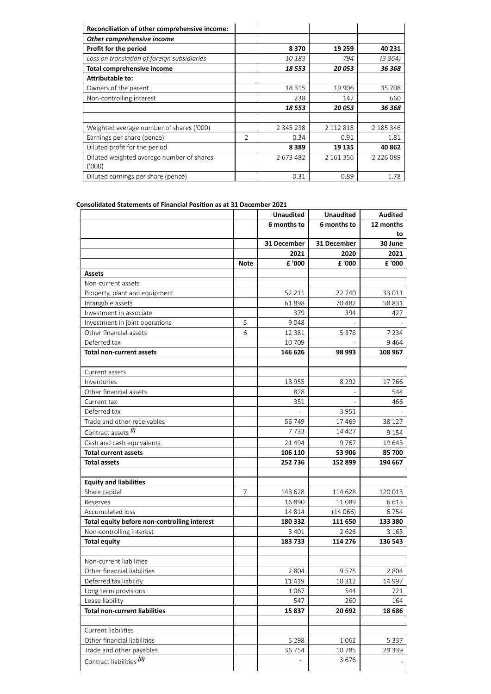| Reconciliation of other comprehensive income: |                |               |           |               |
|-----------------------------------------------|----------------|---------------|-----------|---------------|
| Other comprehensive income                    |                |               |           |               |
| Profit for the period                         |                | 8370          | 19 259    | 40 231        |
| Loss on translation of foreign subsidiaries   |                | 10 183        | 794       | (3 864)       |
| <b>Total comprehensive income</b>             |                | 18 553        | 20 053    | 36 368        |
| <b>Attributable to:</b>                       |                |               |           |               |
| Owners of the parent                          |                | 18 3 15       | 19 906    | 35 708        |
| Non-controlling interest                      |                | 238           | 147       | 660           |
|                                               |                | 18 553        | 20 053    | 36 368        |
|                                               |                |               |           |               |
| Weighted average number of shares ('000)      |                | 2 3 4 5 2 3 8 | 2 112 818 | 2 185 346     |
| Earnings per share (pence)                    | $\mathfrak{D}$ | 0.34          | 0.91      | 1.81          |
| Diluted profit for the period                 |                | 8 3 8 9       | 19 135    | 40862         |
| Diluted weighted average number of shares     |                | 2673482       | 2 161 356 | 2 2 2 6 0 8 9 |
| (1000)                                        |                |               |           |               |
| Diluted earnings per share (pence)            |                | 0.31          | 0.89      | 1.78          |

# **Consolidated Statements of Financial Position as at 31 December 2021**

|                                              |      | <b>Unaudited</b> | <b>Unaudited</b> | <b>Audited</b> |
|----------------------------------------------|------|------------------|------------------|----------------|
|                                              |      | 6 months to      | 6 months to      | 12 months      |
|                                              |      |                  |                  | to             |
|                                              |      | 31 December      | 31 December      | 30 June        |
|                                              |      | 2021             | 2020             | 2021           |
|                                              | Note | £ '000           | £ '000           | £ '000         |
| <b>Assets</b>                                |      |                  |                  |                |
| Non-current assets                           |      |                  |                  |                |
| Property, plant and equipment                |      | 52 211           | 22 740           | 33 011         |
| Intangible assets                            |      | 61898            | 70482            | 58 831         |
| Investment in associate                      |      | 379              | 394              | 427            |
| Investment in joint operations               | 5    | 9048             |                  |                |
| Other financial assets                       | 6    | 12 3 8 1         | 5 3 7 8          | 7 2 3 4        |
| Deferred tax                                 |      | 10 709           |                  | 9464           |
| <b>Total non-current assets</b>              |      | 146 626          | 98 993           | 108 967        |
|                                              |      |                  |                  |                |
| Current assets<br>Inventories                |      | 18 955           | 8 2 9 2          | 17766          |
| Other financial assets                       |      | 828              |                  | 544            |
| Current tax                                  |      | 351              |                  | 466            |
| Deferred tax                                 |      |                  | 3951             |                |
| Trade and other receivables                  |      | 56 749           | 17469            | 38 1 27        |
| Contract assets (i)                          |      | 7733             | 14 4 27          |                |
|                                              |      |                  |                  | 9 1 5 4        |
| Cash and cash equivalents                    |      | 21 4 9 4         | 9767             | 19 643         |
| <b>Total current assets</b>                  |      | 106 110          | 53 906           | 85 700         |
| <b>Total assets</b>                          |      | 252 736          | 152 899          | 194 667        |
| <b>Equity and liabilities</b>                |      |                  |                  |                |
| Share capital                                | 7    | 148 628          | 114 628          | 120 013        |
| Reserves                                     |      | 16 890           | 11089            | 6 6 1 3        |
| Accumulated loss                             |      | 14 8 14          | (14066)          | 6754           |
| Total equity before non-controlling interest |      | 180 332          | 111 650          | 133 380        |
| Non-controlling interest                     |      | 3 4 0 1          | 2626             | 3 1 6 3        |
| <b>Total equity</b>                          |      | 183733           | 114 276          | 136 543        |
|                                              |      |                  |                  |                |
| Non-current liabilities                      |      |                  |                  |                |
| Other financial liabilities                  |      | 2 8 0 4          | 9575             | 2 8 0 4        |
| Deferred tax liability                       |      | 11 4 19          | 10 3 12          | 14 997         |
| Long term provisions                         |      | 1 0 6 7          | 544              | 721            |
| Lease liability                              |      | 547              | 260              | 164            |
| <b>Total non-current liabilities</b>         |      | 15 837           | 20 692           | 18 686         |
|                                              |      |                  |                  |                |
| Current liabilities                          |      |                  |                  |                |
| Other financial liabilities                  |      | 5 2 9 8          | 1062             | 5 3 3 7        |
| Trade and other payables                     |      | 36 754           | 10785            | 29 339         |
| Contract liabilities (ii)                    |      |                  | 3676             |                |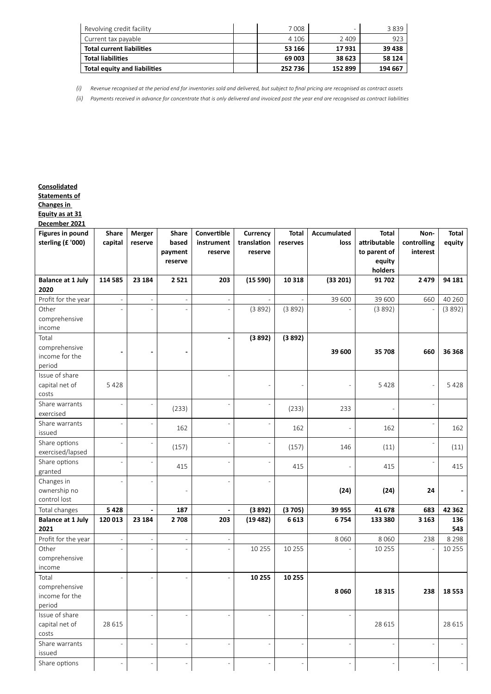| Revolving credit facility        | 7008    |         | 3839    |
|----------------------------------|---------|---------|---------|
| Current tax payable              | 4 1 0 6 | 2409    | 923     |
| <b>Total current liabilities</b> | 53 166  | 17931   | 39 438  |
| <b>Total liabilities</b>         | 69 003  | 38 623  | 58 124  |
| Total equity and liabilities     | 252 736 | 152 899 | 194 667 |

*(i) Revenue recognised at the period end for inventories sold and delivered, but subject to final pricing are recognised as contract assets*

*(ii) Payments received in advance for concentrate that is only delivered and invoiced post the year end are recognised as contract liabilities*

# **Consolidated**

**Statements of**

**Changes in**

**Equity as at 31**

| December 2021                                |                          |                          |                                             |                                      |                                    |                          |                            |                                                                   |                                 |                 |
|----------------------------------------------|--------------------------|--------------------------|---------------------------------------------|--------------------------------------|------------------------------------|--------------------------|----------------------------|-------------------------------------------------------------------|---------------------------------|-----------------|
| <b>Figures in pound</b><br>sterling (£ '000) | Share<br>capital         | Merger<br>reserve        | <b>Share</b><br>based<br>payment<br>reserve | Convertible<br>instrument<br>reserve | Currency<br>translation<br>reserve | <b>Total</b><br>reserves | <b>Accumulated</b><br>loss | <b>Total</b><br>attributable<br>to parent of<br>equity<br>holders | Non-<br>controlling<br>interest | Total<br>equity |
| <b>Balance at 1 July</b>                     | 114 585                  | 23 184                   | 2521                                        | 203                                  | (15590)                            | 10 318                   | (33 201)                   | 91702                                                             | 2479                            | 94 181          |
| 2020                                         |                          |                          |                                             |                                      |                                    |                          |                            |                                                                   |                                 |                 |
| Profit for the year                          |                          | $\overline{\phantom{a}}$ | $\overline{\phantom{a}}$                    |                                      |                                    |                          | 39 600                     | 39 600                                                            | 660                             | 40 260          |
| Other                                        |                          |                          |                                             |                                      | (3892)                             | (3892)                   |                            | (3892)                                                            |                                 | (3892)          |
| comprehensive                                |                          |                          |                                             |                                      |                                    |                          |                            |                                                                   |                                 |                 |
| income                                       |                          |                          |                                             |                                      |                                    |                          |                            |                                                                   |                                 |                 |
| Total                                        |                          |                          |                                             | $\overline{\phantom{a}}$             | (3892)                             | (3892)                   |                            |                                                                   |                                 |                 |
| comprehensive                                |                          |                          |                                             |                                      |                                    |                          | 39 600                     | 35 708                                                            | 660                             | 36 368          |
| income for the                               |                          |                          |                                             |                                      |                                    |                          |                            |                                                                   |                                 |                 |
| period                                       |                          |                          |                                             |                                      |                                    |                          |                            |                                                                   |                                 |                 |
| Issue of share                               |                          |                          |                                             |                                      |                                    |                          |                            |                                                                   |                                 |                 |
| capital net of                               | 5428                     |                          |                                             |                                      | $\overline{a}$                     |                          | $\overline{a}$             | 5428                                                              |                                 | 5428            |
| costs                                        |                          |                          |                                             |                                      |                                    |                          |                            |                                                                   |                                 |                 |
| Share warrants                               |                          |                          | (233)                                       |                                      | $\overline{a}$                     | (233)                    | 233                        |                                                                   |                                 |                 |
| exercised                                    |                          |                          |                                             |                                      |                                    |                          |                            |                                                                   |                                 |                 |
| Share warrants                               |                          |                          | 162                                         |                                      | $\overline{a}$                     | 162                      | ÷,                         | 162                                                               |                                 | 162             |
| issued                                       |                          |                          |                                             |                                      |                                    |                          |                            |                                                                   |                                 |                 |
| Share options                                |                          |                          | (157)                                       |                                      |                                    | (157)                    | 146                        | (11)                                                              |                                 | (11)            |
| exercised/lapsed                             |                          |                          |                                             |                                      |                                    |                          |                            |                                                                   |                                 |                 |
| Share options<br>granted                     |                          |                          | 415                                         |                                      | $\overline{a}$                     | 415                      | $\overline{a}$             | 415                                                               |                                 | 415             |
| Changes in                                   |                          | $\overline{a}$           |                                             |                                      | $\overline{a}$                     |                          |                            |                                                                   |                                 |                 |
| ownership no                                 |                          |                          |                                             |                                      |                                    |                          | (24)                       | (24)                                                              | 24                              |                 |
| control lost                                 |                          |                          |                                             |                                      |                                    |                          |                            |                                                                   |                                 |                 |
| Total changes                                | 5428                     | $\overline{\phantom{a}}$ | 187                                         | $\overline{\phantom{a}}$             | (3892)                             | (3705)                   | 39 955                     | 41 678                                                            | 683                             | 42 3 62         |
| <b>Balance at 1 July</b>                     | 120 013                  | 23 184                   | 2708                                        | 203                                  | (19 482)                           | 6613                     | 6754                       | 133 380                                                           | 3 1 6 3                         | 136             |
| 2021                                         |                          |                          |                                             |                                      |                                    |                          |                            |                                                                   |                                 | 543             |
| Profit for the year                          | $\overline{\phantom{a}}$ | $\overline{\phantom{a}}$ | $\overline{\phantom{a}}$                    | $\overline{\phantom{a}}$             |                                    |                          | 8 0 6 0                    | 8 0 6 0                                                           | 238                             | 8 2 9 8         |
| Other                                        |                          |                          |                                             |                                      | 10 255                             | 10 255                   |                            | 10 255                                                            |                                 | 10 255          |
| comprehensive                                |                          |                          |                                             |                                      |                                    |                          |                            |                                                                   |                                 |                 |
| income                                       |                          |                          |                                             |                                      |                                    |                          |                            |                                                                   |                                 |                 |
| Total                                        |                          | $\overline{a}$           | $\overline{\phantom{a}}$                    | $\overline{a}$                       | 10 255                             | 10 255                   |                            |                                                                   |                                 |                 |
| comprehensive                                |                          |                          |                                             |                                      |                                    |                          | 8 0 6 0                    |                                                                   | 238                             |                 |
| income for the                               |                          |                          |                                             |                                      |                                    |                          |                            | 18 3 15                                                           |                                 | 18 553          |
| period                                       |                          |                          |                                             |                                      |                                    |                          |                            |                                                                   |                                 |                 |
| Issue of share                               |                          | $\overline{\phantom{a}}$ | $\overline{\phantom{a}}$                    | $\overline{a}$                       | $\Box$                             | $\overline{\phantom{a}}$ | $\overline{a}$             |                                                                   |                                 |                 |
| capital net of                               | 28 6 15                  |                          |                                             |                                      |                                    |                          |                            | 28 6 15                                                           |                                 | 28 6 15         |
| costs                                        |                          |                          |                                             |                                      |                                    |                          |                            |                                                                   |                                 |                 |
| Share warrants                               | $\overline{\phantom{a}}$ | $\overline{\phantom{a}}$ | $\overline{\phantom{a}}$                    | $\overline{\phantom{a}}$             | $\frac{1}{2}$                      | $\overline{a}$           | $\overline{a}$             | $\overline{a}$                                                    |                                 | $\blacksquare$  |
| issued                                       |                          |                          |                                             |                                      |                                    |                          |                            |                                                                   |                                 |                 |
| Share options                                | $\sim$                   | $\overline{\phantom{a}}$ | $\overline{\phantom{a}}$                    | $\overline{a}$                       | $\overline{\phantom{m}}$           | $\overline{\phantom{a}}$ | $\overline{\phantom{a}}$   | $\sim$                                                            |                                 | $\blacksquare$  |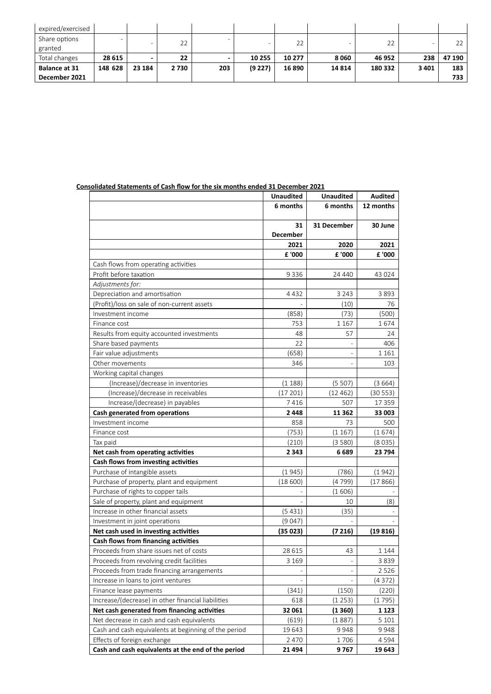| expired/exercised    |         |        |         |     |         |        |       |         |         |        |
|----------------------|---------|--------|---------|-----|---------|--------|-------|---------|---------|--------|
| Share options        |         |        | 22      |     |         | 22     |       | 22      |         | 22     |
| granted              |         |        |         |     |         |        |       |         |         |        |
| Total changes        | 28 615  |        |         |     |         |        |       |         |         |        |
|                      |         |        | 22      |     | 10 255  | 10 277 | 8060  | 46 952  | 238     | 47 190 |
| <b>Balance at 31</b> | 148 628 | 23 184 | 2 7 3 0 | 203 | (9 227) | 16 890 | 14814 | 180 332 | 3 4 0 1 | 183    |

# **Consolidated Statements of Cash flow for the six months ended 31 December 2021**

|                                                      | <b>Unaudited</b>         | <b>Unaudited</b>         | <b>Audited</b> |
|------------------------------------------------------|--------------------------|--------------------------|----------------|
|                                                      | 6 months                 | 6 months                 | 12 months      |
|                                                      | 31                       | 31 December              | 30 June        |
|                                                      | <b>December</b>          |                          |                |
|                                                      | 2021                     | 2020                     | 2021           |
|                                                      | £ '000                   | £ '000                   | £ '000         |
| Cash flows from operating activities                 |                          |                          |                |
| Profit before taxation                               | 9336                     | 24 440                   | 43 0 24        |
| Adjustments for:                                     |                          |                          |                |
| Depreciation and amortisation                        | 4432                     | 3 2 4 3                  | 3893           |
| (Profit)/loss on sale of non-current assets          |                          | (10)                     | 76             |
| Investment income                                    | (858)                    | (73)                     | (500)          |
| Finance cost                                         | 753                      | 1 1 6 7                  | 1674           |
| Results from equity accounted investments            | 48                       | 57                       | 24             |
| Share based payments                                 | 22                       |                          | 406            |
| Fair value adjustments                               | (658)                    |                          | 1 1 6 1        |
| Other movements                                      | 346                      |                          | 103            |
| Working capital changes                              |                          |                          |                |
| (Increase)/decrease in inventories                   | (1188)                   | (5507)                   | (3664)         |
| (Increase)/decrease in receivables                   | (17201)                  | (12462)                  | (30553)        |
| Increase/(decrease) in payables                      | 7416                     | 507                      | 17359          |
| Cash generated from operations                       | 2448                     | 11 3 62                  | 33 003         |
| Investment income                                    | 858                      | 73                       | 500            |
| Finance cost                                         | (753)                    | (1167)                   | (1674)         |
| Tax paid                                             | (210)                    | (3580)                   | (8035)         |
| Net cash from operating activities                   | 2 3 4 3                  | 6689                     | 23 794         |
| Cash flows from investing activities                 |                          |                          |                |
| Purchase of intangible assets                        | (1945)                   | (786)                    | (1942)         |
| Purchase of property, plant and equipment            | (18600)                  | (4799)                   | (17866)        |
| Purchase of rights to copper tails                   |                          | (1606)                   |                |
| Sale of property, plant and equipment                |                          | 10                       | (8)            |
| Increase in other financial assets                   | (5431)                   | (35)                     |                |
| Investment in joint operations                       | (9047)                   |                          |                |
| Net cash used in investing activities                | (35023)                  | (7216)                   | (19816)        |
| Cash flows from financing activities                 |                          |                          |                |
| Proceeds from share issues net of costs              | 28 6 15                  | 43                       | 1 1 4 4        |
| Proceeds from revolving credit facilities            | 3 1 6 9                  |                          | 3839           |
| Proceeds from trade financing arrangements           | $\overline{\phantom{a}}$ | $\overline{\phantom{m}}$ | 2 5 2 6        |
| Increase in loans to joint ventures                  |                          |                          | (4372)         |
| Finance lease payments                               | (341)                    | (150)                    | (220)          |
| Increase/(decrease) in other financial liabilities   | 618                      | (1253)                   | (1795)         |
| Net cash generated from financing activities         | 32 061                   | (1360)                   | 1 1 2 3        |
| Net decrease in cash and cash equivalents            | (619)                    | (1887)                   | 5 1 0 1        |
| Cash and cash equivalents at beginning of the period | 19643                    | 9948                     | 9948           |
| Effects of foreign exchange                          | 2 4 7 0                  | 1706                     | 4 5 9 4        |
| Cash and cash equivalents at the end of the period   | 21 4 94                  | 9767                     | 19 643         |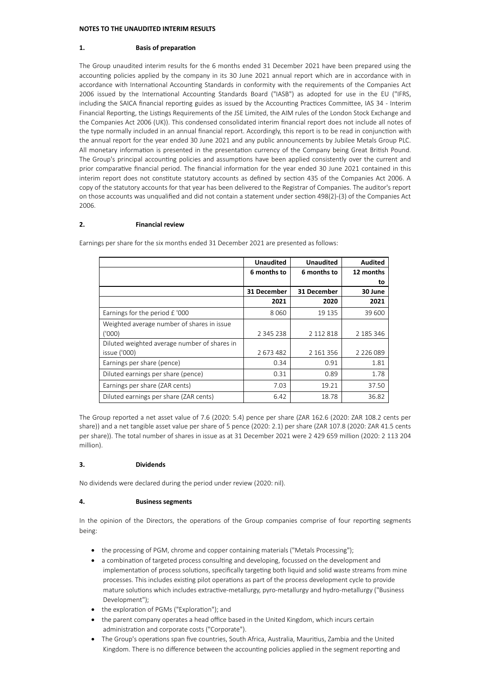#### **NOTES TO THE UNAUDITED INTERIM RESULTS**

#### **1. Basis of preparation**

The Group unaudited interim results for the 6 months ended 31 December 2021 have been prepared using the accounting policies applied by the company in its 30 June 2021 annual report which are in accordance with in accordance with International Accounting Standards in conformity with the requirements of the Companies Act 2006 issued by the International Accounting Standards Board ("IASB") as adopted for use in the EU ("IFRS, including the SAICA financial reporting guides as issued by the Accounting Practices Committee, IAS 34 - Interim Financial Reporting, the Listings Requirements of the JSE Limited, the AIM rules of the London Stock Exchange and the Companies Act 2006 (UK)). This condensed consolidated interim financial report does not include all notes of the type normally included in an annual financial report. Accordingly, this report is to be read in conjunction with the annual report for the year ended 30 June 2021 and any public announcements by Jubilee Metals Group PLC. All monetary information is presented in the presentation currency of the Company being Great British Pound. The Group's principal accounting policies and assumptions have been applied consistently over the current and prior comparative financial period. The financial information for the year ended 30 June 2021 contained in this interim report does not constitute statutory accounts as defined by section 435 of the Companies Act 2006. A copy of the statutory accounts for that year has been delivered to the Registrar of Companies. The auditor's report on those accounts was unqualified and did not contain a statement under section 498(2)-(3) of the Companies Act 2006.

### **2. Financial review**

|                                              | <b>Unaudited</b> | <b>Unaudited</b> | <b>Audited</b> |
|----------------------------------------------|------------------|------------------|----------------|
|                                              | 6 months to      | 6 months to      | 12 months      |
|                                              |                  |                  | to             |
|                                              | 31 December      | 31 December      | 30 June        |
|                                              | 2021             | 2020             | 2021           |
| Earnings for the period $f$ '000             | 8060             | 19 135           | 39 600         |
| Weighted average number of shares in issue   |                  |                  |                |
| ('000)                                       | 2 3 4 5 2 3 8    | 2 112 818        | 2 185 346      |
| Diluted weighted average number of shares in |                  |                  |                |
| issue ('000)                                 | 2673482          | 2 161 356        | 2 2 2 6 0 8 9  |
| Earnings per share (pence)                   | 0.34             | 0.91             | 1.81           |
| Diluted earnings per share (pence)           | 0.31             | 0.89             | 1.78           |
| Earnings per share (ZAR cents)               | 7.03             | 19.21            | 37.50          |
| Diluted earnings per share (ZAR cents)       | 6.42             | 18.78            | 36.82          |

Earnings per share for the six months ended 31 December 2021 are presented as follows:

The Group reported a net asset value of 7.6 (2020: 5.4) pence per share (ZAR 162.6 (2020: ZAR 108.2 cents per share)) and a net tangible asset value per share of 5 pence (2020: 2.1) per share (ZAR 107.8 (2020: ZAR 41.5 cents per share)). The total number of shares in issue as at 31 December 2021 were 2 429 659 million (2020: 2 113 204 million).

#### **3. Dividends**

No dividends were declared during the period under review (2020: nil).

# **4. Business segments**

In the opinion of the Directors, the operations of the Group companies comprise of four reporting segments being:

- the processing of PGM, chrome and copper containing materials ("Metals Processing");
- a combination of targeted process consulting and developing, focussed on the development and implementation of process solutions, specifically targeting both liquid and solid waste streams from mine processes. This includes existing pilot operations as part of the process development cycle to provide mature solutions which includes extractive-metallurgy, pyro-metallurgy and hydro-metallurgy ("Business Development");
- the exploration of PGMs ("Exploration"); and
- · the parent company operates a head office based in the United Kingdom, which incurs certain administration and corporate costs ("Corporate").
- · The Group's operations span five countries, South Africa, Australia, Mauritius, Zambia and the United Kingdom. There is no difference between the accounting policies applied in the segment reporting and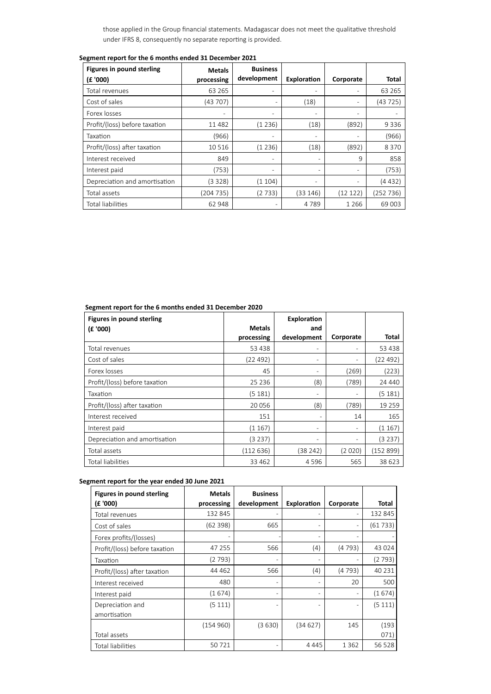those applied in the Group financial statements. Madagascar does not meet the qualitative threshold under IFRS 8, consequently no separate reporting is provided.

| <b>Figures in pound sterling</b> | <b>Metals</b> | <b>Business</b>          |                          |                |           |
|----------------------------------|---------------|--------------------------|--------------------------|----------------|-----------|
| (£ '000)                         | processing    | development              | Exploration              | Corporate      | Total     |
| Total revenues                   | 63 2 65       |                          |                          |                | 63 2 65   |
| Cost of sales                    | (43 707)      |                          | (18)                     | $\overline{a}$ | (43725)   |
| Forex losses                     |               | -                        | $\overline{\phantom{a}}$ |                |           |
| Profit/(loss) before taxation    | 11482         | (1236)                   | (18)                     | (892)          | 9336      |
| Taxation                         | (966)         | $\overline{\phantom{0}}$ | $\overline{a}$           |                | (966)     |
| Profit/(loss) after taxation     | 10516         | (1236)                   | (18)                     | (892)          | 8370      |
| Interest received                | 849           | -                        |                          | 9              | 858       |
| Interest paid                    | (753)         | -                        |                          |                | (753)     |
| Depreciation and amortisation    | (3 3 2 8 )    | (1104)                   | $\overline{\phantom{a}}$ | $\overline{a}$ | (4 432)   |
| Total assets                     | (204 735)     | (2733)                   | (33 146)                 | (12 122)       | (252 736) |
| Total liabilities                | 62 948        |                          | 4789                     | 1 2 6 6        | 69 003    |

# **Segment report for the 6 months ended 31 December 2021**

# **Segment report for the 6 months ended 31 December 2020**

| <b>Figures in pound sterling</b> | <b>Metals</b> | Exploration<br>and       |                |          |
|----------------------------------|---------------|--------------------------|----------------|----------|
| (E'000)                          | processing    | development              | Corporate      | Total    |
| Total revenues                   | 53 438        | $\overline{a}$           |                | 53 438   |
| Cost of sales                    | (22 492)      | $\overline{\phantom{a}}$ | ۰              | (22 492) |
| Forex losses                     | 45            | $\overline{\phantom{0}}$ | (269)          | (223)    |
| Profit/(loss) before taxation    | 25 2 36       | (8)                      | (789)          | 24 440   |
| Taxation                         | (5 181)       | $\overline{\phantom{0}}$ | $\overline{a}$ | (5181)   |
| Profit/(loss) after taxation     | 20 056        | (8)                      | (789)          | 19 25 9  |
| Interest received                | 151           |                          | 14             | 165      |
| Interest paid                    | (1 167)       | $\qquad \qquad -$        | ۰              | (1167)   |
| Depreciation and amortisation    | (3 237)       | $\overline{a}$           | Ξ.             | (3 237)  |
| Total assets                     | (112636)      | (38 242)                 | (2020)         | (152899) |
| Total liabilities                | 33 462        | 4596                     | 565            | 38 623   |

# **Segment report for the year ended 30 June 2021**

| <b>Figures in pound sterling</b> | <b>Metals</b> | <b>Business</b> |                    |           |          |
|----------------------------------|---------------|-----------------|--------------------|-----------|----------|
| (£ '000)                         | processing    | development     | <b>Exploration</b> | Corporate | Total    |
| Total revenues                   | 132 845       |                 |                    |           | 132 845  |
| Cost of sales                    | (62 398)      | 665             |                    |           | (61733)  |
| Forex profits/(losses)           |               |                 |                    |           |          |
| Profit/(loss) before taxation    | 47 255        | 566             | (4)                | (4793)    | 43 0 24  |
| Taxation                         | (2 793)       |                 |                    |           | (2793)   |
| Profit/(loss) after taxation     | 44 4 62       | 566             | (4)                | (4793)    | 40 2 3 1 |
| Interest received                | 480           |                 |                    | 20        | 500      |
| Interest paid                    | (1674)        |                 |                    |           | (1674)   |
| Depreciation and                 | (5 111)       |                 |                    |           | (5111)   |
| amortisation                     |               |                 |                    |           |          |
|                                  | (154960)      | (3630)          | (34627)            | 145       | (193)    |
| Total assets                     |               |                 |                    |           | 071)     |
| <b>Total liabilities</b>         | 50721         |                 | 4 4 4 5            | 1362      | 56 5 28  |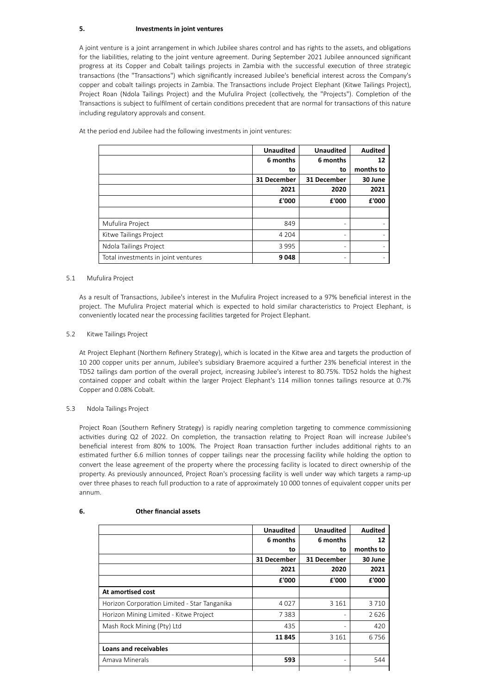### **5. Investments in joint ventures**

A joint venture is a joint arrangement in which Jubilee shares control and has rights to the assets, and obligations for the liabilities, relating to the joint venture agreement. During September 2021 Jubilee announced significant progress at its Copper and Cobalt tailings projects in Zambia with the successful execution of three strategic transactions (the "Transactions") which significantly increased Jubilee's beneficial interest across the Company's copper and cobalt tailings projects in Zambia. The Transactions include Project Elephant (Kitwe Tailings Project), Project Roan (Ndola Tailings Project) and the Mufulira Project (collectively, the "Projects"). Completion of the Transactions is subject to fulfilment of certain conditions precedent that are normal for transactions of this nature including regulatory approvals and consent.

|                                     | <b>Unaudited</b> | <b>Unaudited</b> | <b>Audited</b> |
|-------------------------------------|------------------|------------------|----------------|
|                                     | 6 months         | 6 months         | 12             |
|                                     | to               | to               | months to      |
|                                     | 31 December      | 31 December      | 30 June        |
|                                     | 2021             | 2020             | 2021           |
|                                     | £'000            | £'000            | £'000          |
|                                     |                  |                  |                |
| Mufulira Project                    | 849              | -                |                |
| Kitwe Tailings Project              | 4 2 0 4          | -                |                |
| Ndola Tailings Project              | 3995             | -                |                |
| Total investments in joint ventures | 9048             | -                |                |

At the period end Jubilee had the following investments in joint ventures:

#### 5.1 Mufulira Project

As a result of Transactions, Jubilee's interest in the Mufulira Project increased to a 97% beneficial interest in the project. The Mufulira Project material which is expected to hold similar characteristics to Project Elephant, is conveniently located near the processing facilities targeted for Project Elephant.

#### 5.2 Kitwe Tailings Project

At Project Elephant (Northern Refinery Strategy), which is located in the Kitwe area and targets the production of 10 200 copper units per annum, Jubilee's subsidiary Braemore acquired a further 23% beneficial interest in the TD52 tailings dam portion of the overall project, increasing Jubilee's interest to 80.75%. TD52 holds the highest contained copper and cobalt within the larger Project Elephant's 114 million tonnes tailings resource at 0.7% Copper and 0.08% Cobalt.

#### 5.3 Ndola Tailings Project

Project Roan (Southern Refinery Strategy) is rapidly nearing completion targeting to commence commissioning activities during Q2 of 2022. On completion, the transaction relating to Project Roan will increase Jubilee's beneficial interest from 80% to 100%. The Project Roan transaction further includes additional rights to an estimated further 6.6 million tonnes of copper tailings near the processing facility while holding the option to convert the lease agreement of the property where the processing facility is located to direct ownership of the property. As previously announced, Project Roan's processing facility is well under way which targets a ramp-up over three phases to reach full production to a rate of approximately 10 000 tonnes of equivalent copper units per annum.

|                                              | <b>Unaudited</b> | <b>Unaudited</b> | <b>Audited</b> |
|----------------------------------------------|------------------|------------------|----------------|
|                                              | 6 months         | 6 months         | 12             |
|                                              | to               | to               | months to      |
|                                              | 31 December      | 31 December      | 30 June        |
|                                              | 2021             | 2020             | 2021           |
|                                              | £'000            | £'000            | £'000          |
| At amortised cost                            |                  |                  |                |
| Horizon Corporation Limited - Star Tanganika | 4027             | 3 1 6 1          | 3710           |
| Horizon Mining Limited - Kitwe Project       | 7383             |                  | 2626           |
| Mash Rock Mining (Pty) Ltd                   | 435              |                  | 420            |
|                                              | 11845            | 3 1 6 1          | 6756           |
| <b>Loans and receivables</b>                 |                  |                  |                |
| Amaya Minerals                               | 593              |                  | 544            |
|                                              |                  |                  |                |

#### **6. Other financial assets**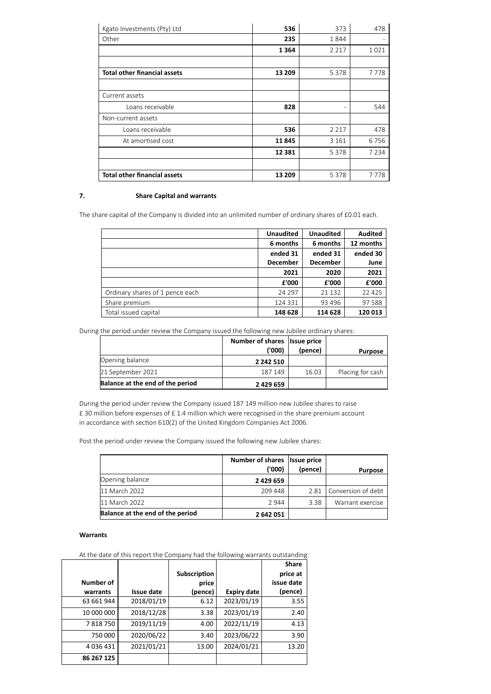| Kgato Investments (Pty) Ltd         | 536      | 373                          | 478     |
|-------------------------------------|----------|------------------------------|---------|
| Other                               | 235      | 1844                         |         |
|                                     | 1364     | 2 2 1 7                      | 1021    |
|                                     |          |                              |         |
| <b>Total other financial assets</b> | 13 209   | 5 3 7 8                      | 7778    |
|                                     |          |                              |         |
| Current assets                      |          |                              |         |
| Loans receivable                    | 828      | $\qquad \qquad \blacksquare$ | 544     |
| Non-current assets                  |          |                              |         |
| Loans receivable                    | 536      | 2 2 1 7                      | 478     |
| At amortised cost                   | 11845    | 3 1 6 1                      | 6756    |
|                                     | 12 3 8 1 | 5 3 7 8                      | 7 2 3 4 |
|                                     |          |                              |         |
| <b>Total other financial assets</b> | 13 209   | 5378                         | 7778    |

# **7. Share Capital and warrants**

The share capital of the Company is divided into an unlimited number of ordinary shares of £0.01 each.

|                                 | <b>Unaudited</b> | <b>Unaudited</b> | <b>Audited</b> |
|---------------------------------|------------------|------------------|----------------|
|                                 | 6 months         | 6 months         | 12 months      |
|                                 | ended 31         | ended 31         | ended 30       |
|                                 | <b>December</b>  | <b>December</b>  | June           |
|                                 | 2021             | 2020             | 2021           |
|                                 | £'000            | £'000            | £'000          |
| Ordinary shares of 1 pence each | 24 2 9 7         | 21 1 32          | 22 4 25        |
| Share premium                   | 124 331          | 93 4 96          | 97588          |
| Total issued capital            | 148 628          | 114 628          | 120 013        |

During the period under review the Company issued the following new Jubilee ordinary shares:

|                                  | Number of shares Issue price |         |                  |
|----------------------------------|------------------------------|---------|------------------|
|                                  | ('000)                       | (pence) | <b>Purpose</b>   |
| Opening balance                  | 2 242 510                    |         |                  |
| 21 September 2021                | 187 149                      | 16.03   | Placing for cash |
| Balance at the end of the period | 2 429 659                    |         |                  |

During the period under review the Company issued 187 149 million new Jubilee shares to raise £ 30 million before expenses of £ 1.4 million which were recognised in the share premium account in accordance with section 610(2) of the United Kingdom Companies Act 2006.

Post the period under review the Company issued the following new Jubilee shares:

|                                  | Number of shares Issue price<br>('000) | (pence) | <b>Purpose</b>     |
|----------------------------------|----------------------------------------|---------|--------------------|
| Opening balance                  | 2 4 2 9 6 5 9                          |         |                    |
| 11 March 2022                    | 209 448                                | 2.81    | Conversion of debt |
| 11 March 2022                    | 2944                                   | 3.38    | Warrant exercise   |
| Balance at the end of the period | 2 642 051                              |         |                    |

# **Warrants**

At the date of this report the Company had the following warrants outstanding:

| Number of<br>warrants | <b>Issue date</b> | Subscription<br>price<br>(pence) | <b>Expiry date</b> | <b>Share</b><br>price at<br>issue date<br>(pence) |
|-----------------------|-------------------|----------------------------------|--------------------|---------------------------------------------------|
| 63 661 944            | 2018/01/19        | 6.12                             | 2023/01/19         | 3.55                                              |
| 10 000 000            | 2018/12/28        | 3.38                             | 2023/01/19         | 2.40                                              |
| 7818750               | 2019/11/19        | 4.00                             | 2022/11/19         | 4.13                                              |
| 750 000               | 2020/06/22        | 3.40                             | 2023/06/22         | 3.90                                              |
| 4036431               | 2021/01/21        | 13.00                            | 2024/01/21         | 13.20                                             |
| 86 267 125            |                   |                                  |                    |                                                   |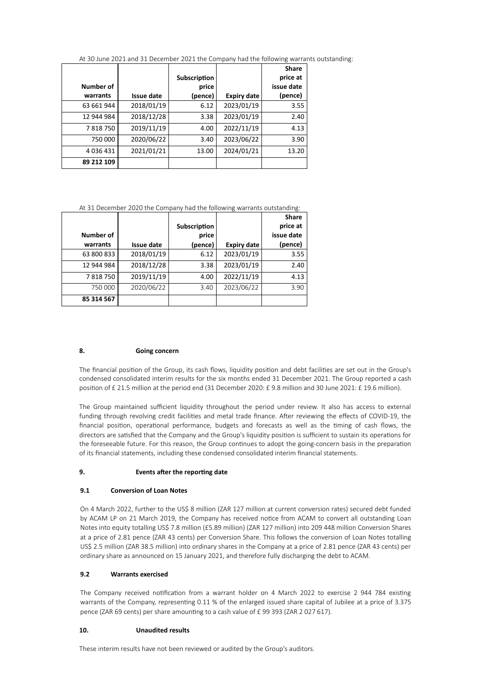At 30 June 2021 and 31 December 2021 the Company had the following warrants outstanding:

| <b>Number of</b><br>warrants |                   | Subscription<br>price |                    | <b>Share</b><br>price at<br>issue date |
|------------------------------|-------------------|-----------------------|--------------------|----------------------------------------|
|                              | <b>Issue date</b> | (pence)               | <b>Expiry date</b> | (pence)                                |
| 63 661 944                   | 2018/01/19        | 6.12                  | 2023/01/19         | 3.55                                   |
| 12 944 984                   | 2018/12/28        | 3.38                  | 2023/01/19         | 2.40                                   |
| 7818750                      | 2019/11/19        | 4.00                  | 2022/11/19         | 4.13                                   |
| 750 000                      | 2020/06/22        | 3.40                  | 2023/06/22         | 3.90                                   |
| 4036431                      | 2021/01/21        | 13.00                 | 2024/01/21         | 13.20                                  |
| 89 212 109                   |                   |                       |                    |                                        |

# At 31 December 2020 the Company had the following warrants outstanding:

|            |                   | Subscription |                    | <b>Share</b><br>price at |
|------------|-------------------|--------------|--------------------|--------------------------|
| Number of  |                   | price        |                    | issue date               |
| warrants   | <b>Issue date</b> | (pence)      | <b>Expiry date</b> | (pence)                  |
| 63 800 833 | 2018/01/19        | 6.12         | 2023/01/19         | 3.55                     |
| 12 944 984 | 2018/12/28        | 3.38         | 2023/01/19         | 2.40                     |
| 7818750    | 2019/11/19        | 4.00         | 2022/11/19         | 4.13                     |
| 750 000    | 2020/06/22        | 3.40         | 2023/06/22         | 3.90                     |
| 85 314 567 |                   |              |                    |                          |

# **8. Going concern**

The financial position of the Group, its cash flows, liquidity position and debt facilities are set out in the Group's condensed consolidated interim results for the six months ended 31 December 2021. The Group reported a cash position of £ 21.5 million at the period end (31 December 2020: £ 9.8 million and 30 June 2021: £ 19.6 million).

The Group maintained sufficient liquidity throughout the period under review. It also has access to external funding through revolving credit facilities and metal trade finance. After reviewing the effects of COVID-19, the financial position, operational performance, budgets and forecasts as well as the timing of cash flows, the directors are satisfied that the Company and the Group's liquidity position is sufficient to sustain its operations for the foreseeable future. For this reason, the Group continues to adopt the going-concern basis in the preparation of its financial statements, including these condensed consolidated interim financial statements.

#### **9. Events after the reporting date**

#### **9.1 Conversion of Loan Notes**

On 4 March 2022, further to the US\$ 8 million (ZAR 127 million at current conversion rates) secured debt funded by ACAM LP on 21 March 2019, the Company has received notice from ACAM to convert all outstanding Loan Notes into equity totalling US\$ 7.8 million (£5.89 million) (ZAR 127 million) into 209 448 million Conversion Shares at a price of 2.81 pence (ZAR 43 cents) per Conversion Share. This follows the conversion of Loan Notes totalling US\$ 2.5 million (ZAR 38.5 million) into ordinary shares in the Company at a price of 2.81 pence (ZAR 43 cents) per ordinary share as announced on 15 January 2021, and therefore fully discharging the debt to ACAM.

#### **9.2 Warrants exercised**

The Company received notification from a warrant holder on 4 March 2022 to exercise 2 944 784 existing warrants of the Company, representing 0.11 % of the enlarged issued share capital of Jubilee at a price of 3.375 pence (ZAR 69 cents) per share amounting to a cash value of £ 99 393 (ZAR 2 027 617).

#### **10. Unaudited results**

These interim results have not been reviewed or audited by the Group's auditors.